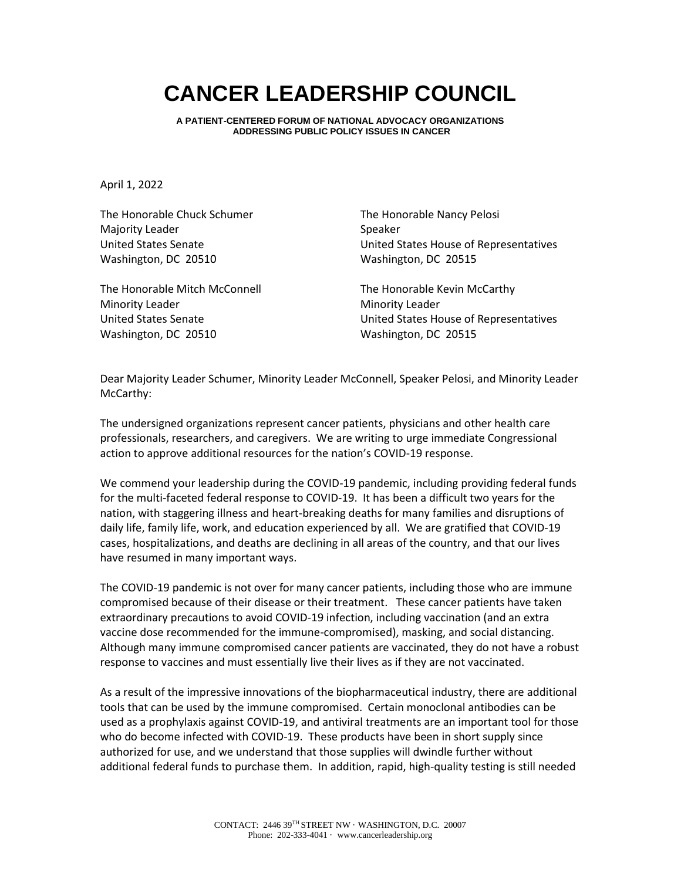## **CANCER LEADERSHIP COUNCIL**

**A PATIENT-CENTERED FORUM OF NATIONAL ADVOCACY ORGANIZATIONS ADDRESSING PUBLIC POLICY ISSUES IN CANCER**

April 1, 2022

The Honorable Chuck Schumer Majority Leader United States Senate Washington, DC 20510

The Honorable Mitch McConnell Minority Leader United States Senate Washington, DC 20510

The Honorable Nancy Pelosi Speaker United States House of Representatives Washington, DC 20515

The Honorable Kevin McCarthy Minority Leader United States House of Representatives Washington, DC 20515

Dear Majority Leader Schumer, Minority Leader McConnell, Speaker Pelosi, and Minority Leader McCarthy:

The undersigned organizations represent cancer patients, physicians and other health care professionals, researchers, and caregivers. We are writing to urge immediate Congressional action to approve additional resources for the nation's COVID-19 response.

We commend your leadership during the COVID-19 pandemic, including providing federal funds for the multi-faceted federal response to COVID-19. It has been a difficult two years for the nation, with staggering illness and heart-breaking deaths for many families and disruptions of daily life, family life, work, and education experienced by all. We are gratified that COVID-19 cases, hospitalizations, and deaths are declining in all areas of the country, and that our lives have resumed in many important ways.

The COVID-19 pandemic is not over for many cancer patients, including those who are immune compromised because of their disease or their treatment. These cancer patients have taken extraordinary precautions to avoid COVID-19 infection, including vaccination (and an extra vaccine dose recommended for the immune-compromised), masking, and social distancing. Although many immune compromised cancer patients are vaccinated, they do not have a robust response to vaccines and must essentially live their lives as if they are not vaccinated.

As a result of the impressive innovations of the biopharmaceutical industry, there are additional tools that can be used by the immune compromised. Certain monoclonal antibodies can be used as a prophylaxis against COVID-19, and antiviral treatments are an important tool for those who do become infected with COVID-19. These products have been in short supply since authorized for use, and we understand that those supplies will dwindle further without additional federal funds to purchase them. In addition, rapid, high-quality testing is still needed